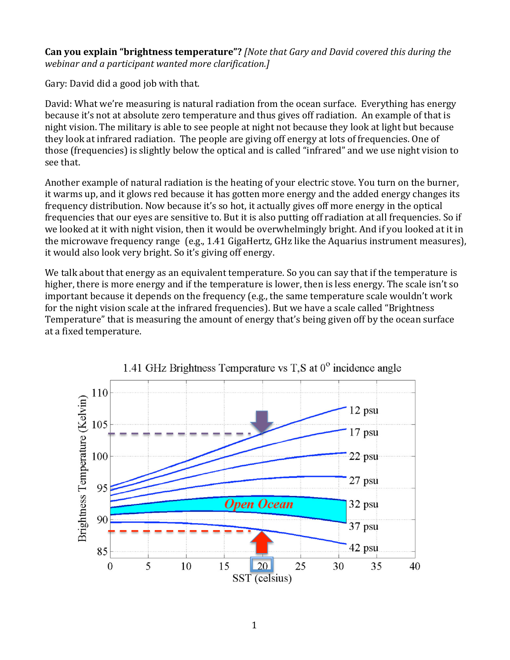#### **Can you explain "brightness temperature"?** *[Note that Gary and David covered this during the webinar and a participant wanted more clarification.]*

Gary: David did a good job with that.

David: What we're measuring is natural radiation from the ocean surface. Everything has energy because it's not at absolute zero temperature and thus gives off radiation. An example of that is night vision. The military is able to see people at night not because they look at light but because they look at infrared radiation. The people are giving off energy at lots of frequencies. One of those (frequencies) is slightly below the optical and is called "infrared" and we use night vision to see that.

Another example of natural radiation is the heating of your electric stove. You turn on the burner, it warms up, and it glows red because it has gotten more energy and the added energy changes its frequency distribution. Now because it's so hot, it actually gives off more energy in the optical frequencies that our eyes are sensitive to. But it is also putting off radiation at all frequencies. So if we looked at it with night vision, then it would be overwhelmingly bright. And if you looked at it in the microwave frequency range  $(e.g., 1.41\text{ GigalHertz}, GHz$  like the Aquarius instrument measures), it would also look very bright. So it's giving off energy.

We talk about that energy as an equivalent temperature. So you can say that if the temperature is higher, there is more energy and if the temperature is lower, then is less energy. The scale isn't so important because it depends on the frequency (e.g., the same temperature scale wouldn't work for the night vision scale at the infrared frequencies). But we have a scale called "Brightness" Temperature" that is measuring the amount of energy that's being given off by the ocean surface at a fixed temperature.



1.41 GHz Brightness Temperature vs T,S at  $0^{\circ}$  incidence angle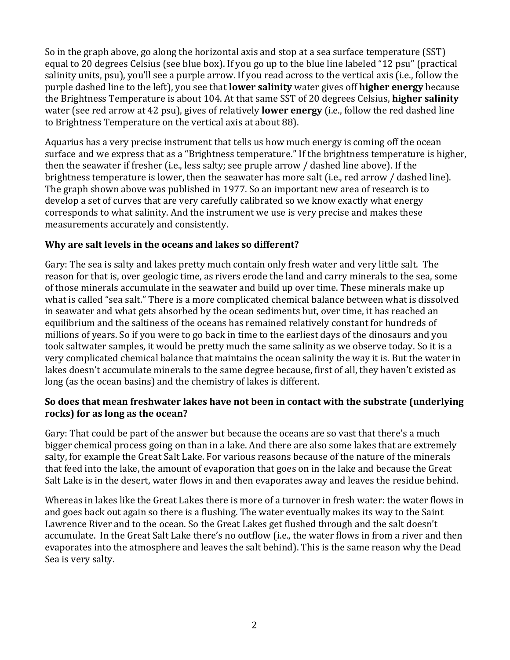So in the graph above, go along the horizontal axis and stop at a sea surface temperature (SST) equal to 20 degrees Celsius (see blue box). If you go up to the blue line labeled "12 psu" (practical salinity units, psu), you'll see a purple arrow. If you read across to the vertical axis (i.e., follow the purple dashed line to the left), you see that **lower salinity** water gives off **higher energy** because the Brightness Temperature is about 104. At that same SST of 20 degrees Celsius, **higher salinity** water (see red arrow at 42 psu), gives of relatively **lower energy** (i.e., follow the red dashed line to Brightness Temperature on the vertical axis at about 88).

Aquarius has a very precise instrument that tells us how much energy is coming off the ocean surface and we express that as a "Brightness temperature." If the brightness temperature is higher, then the seawater if fresher (i.e., less salty; see pruple arrow / dashed line above). If the brightness temperature is lower, then the seawater has more salt (i.e., red arrow / dashed line). The graph shown above was published in 1977. So an important new area of research is to develop a set of curves that are very carefully calibrated so we know exactly what energy corresponds to what salinity. And the instrument we use is very precise and makes these measurements accurately and consistently.

# **Why are salt levels in the oceans and lakes so different?**

Gary: The sea is salty and lakes pretty much contain only fresh water and very little salt. The reason for that is, over geologic time, as rivers erode the land and carry minerals to the sea, some of those minerals accumulate in the seawater and build up over time. These minerals make up what is called "sea salt." There is a more complicated chemical balance between what is dissolved in seawater and what gets absorbed by the ocean sediments but, over time, it has reached an equilibrium and the saltiness of the oceans has remained relatively constant for hundreds of millions of years. So if you were to go back in time to the earliest days of the dinosaurs and you took saltwater samples, it would be pretty much the same salinity as we observe today. So it is a very complicated chemical balance that maintains the ocean salinity the way it is. But the water in lakes doesn't accumulate minerals to the same degree because, first of all, they haven't existed as long (as the ocean basins) and the chemistry of lakes is different.

### So does that mean freshwater lakes have not been in contact with the substrate (underlying **rocks)** for as long as the ocean?

Gary: That could be part of the answer but because the oceans are so vast that there's a much bigger chemical process going on than in a lake. And there are also some lakes that are extremely salty, for example the Great Salt Lake. For various reasons because of the nature of the minerals that feed into the lake, the amount of evaporation that goes on in the lake and because the Great Salt Lake is in the desert, water flows in and then evaporates away and leaves the residue behind.

Whereas in lakes like the Great Lakes there is more of a turnover in fresh water: the water flows in and goes back out again so there is a flushing. The water eventually makes its way to the Saint Lawrence River and to the ocean. So the Great Lakes get flushed through and the salt doesn't accumulate. In the Great Salt Lake there's no outflow (i.e., the water flows in from a river and then evaporates into the atmosphere and leaves the salt behind). This is the same reason why the Dead Sea is very salty.